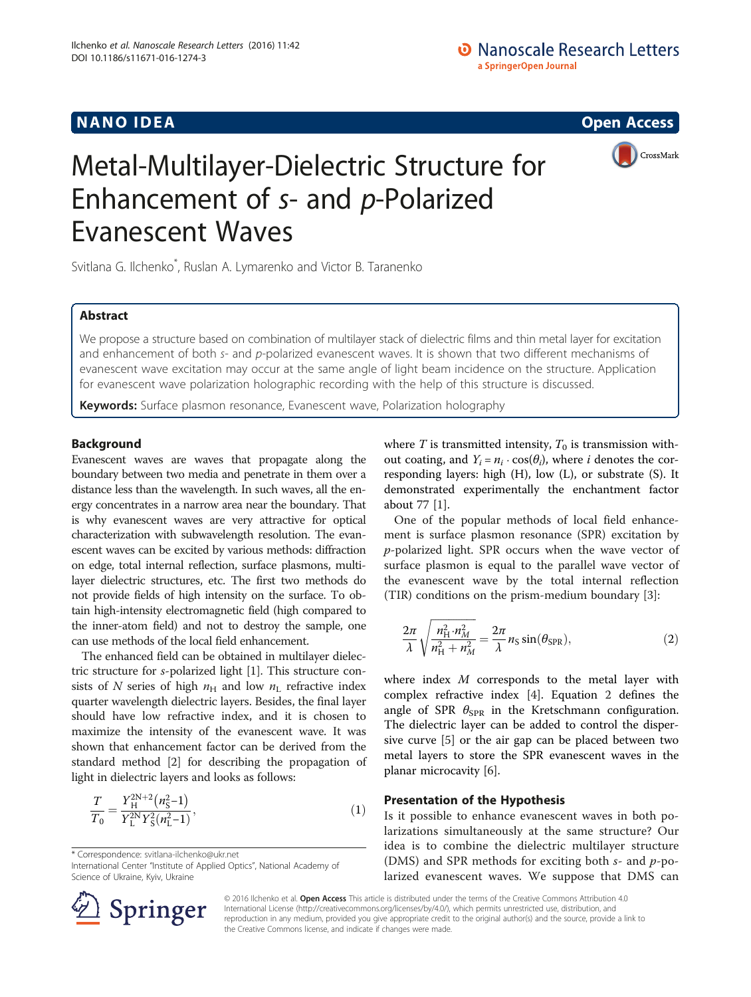## **NANO IDEA** Open Access **Contract Contract Contract Contract Contract Contract Contract Contract Contract Contract Contract Contract Contract Contract Contract Contract Contract Contract Contract Contract Contract Contract**

CrossMark

# Metal-Multilayer-Dielectric Structure for Enhancement of s- and p-Polarized Evanescent Waves

Svitlana G. Ilchenko<sup>\*</sup>, Ruslan A. Lymarenko and Victor B. Taranenko

## Abstract

We propose a structure based on combination of multilayer stack of dielectric films and thin metal layer for excitation and enhancement of both s- and p-polarized evanescent waves. It is shown that two different mechanisms of evanescent wave excitation may occur at the same angle of light beam incidence on the structure. Application for evanescent wave polarization holographic recording with the help of this structure is discussed.

Keywords: Surface plasmon resonance, Evanescent wave, Polarization holography

## Background

Evanescent waves are waves that propagate along the boundary between two media and penetrate in them over a distance less than the wavelength. In such waves, all the energy concentrates in a narrow area near the boundary. That is why evanescent waves are very attractive for optical characterization with subwavelength resolution. The evanescent waves can be excited by various methods: diffraction on edge, total internal reflection, surface plasmons, multilayer dielectric structures, etc. The first two methods do not provide fields of high intensity on the surface. To obtain high-intensity electromagnetic field (high compared to the inner-atom field) and not to destroy the sample, one can use methods of the local field enhancement.

The enhanced field can be obtained in multilayer dielectric structure for s-polarized light [[1](#page-2-0)]. This structure consists of N series of high  $n_H$  and low  $n_L$  refractive index quarter wavelength dielectric layers. Besides, the final layer should have low refractive index, and it is chosen to maximize the intensity of the evanescent wave. It was shown that enhancement factor can be derived from the standard method [[2](#page-2-0)] for describing the propagation of light in dielectric layers and looks as follows:

$$
\frac{T}{T_0} = \frac{Y_H^{\text{2N+2}}(n_{\text{S}}^2 - 1)}{Y_L^{\text{2N}} Y_S^2(n_L^2 - 1)},\tag{1}
$$

\* Correspondence: [svitlana-ilchenko@ukr.net](mailto:svitlana-ilchenko@ukr.net)

International Center "Institute of Applied Optics", National Academy of Science of Ukraine, Kyiv, Ukraine

where  $T$  is transmitted intensity,  $T_0$  is transmission without coating, and  $Y_i = n_i \cdot \cos(\theta_i)$ , where *i* denotes the corresponding layers: high (H), low (L), or substrate (S). It demonstrated experimentally the enchantment factor about 77 [[1\]](#page-2-0).

One of the popular methods of local field enhancement is surface plasmon resonance (SPR) excitation by p-polarized light. SPR occurs when the wave vector of surface plasmon is equal to the parallel wave vector of the evanescent wave by the total internal reflection (TIR) conditions on the prism-medium boundary [\[3](#page-2-0)]:

$$
\frac{2\pi}{\lambda} \sqrt{\frac{n_{\text{H}}^2 \cdot n_M^2}{n_{\text{H}}^2 + n_M^2}} = \frac{2\pi}{\lambda} n_{\text{S}} \sin(\theta_{\text{SPR}}),\tag{2}
$$

where index M corresponds to the metal layer with complex refractive index [\[4\]](#page-2-0). Equation 2 defines the angle of SPR  $\theta_{SPR}$  in the Kretschmann configuration. The dielectric layer can be added to control the dispersive curve [[5\]](#page-2-0) or the air gap can be placed between two metal layers to store the SPR evanescent waves in the planar microcavity [[6\]](#page-2-0).

## Presentation of the Hypothesis

Is it possible to enhance evanescent waves in both polarizations simultaneously at the same structure? Our idea is to combine the dielectric multilayer structure (DMS) and SPR methods for exciting both  $s$ - and  $p$ -polarized evanescent waves. We suppose that DMS can



© 2016 Ilchenko et al. Open Access This article is distributed under the terms of the Creative Commons Attribution 4.0 International License ([http://creativecommons.org/licenses/by/4.0/\)](http://creativecommons.org/licenses/by/4.0/), which permits unrestricted use, distribution, and reproduction in any medium, provided you give appropriate credit to the original author(s) and the source, provide a link to the Creative Commons license, and indicate if changes were made.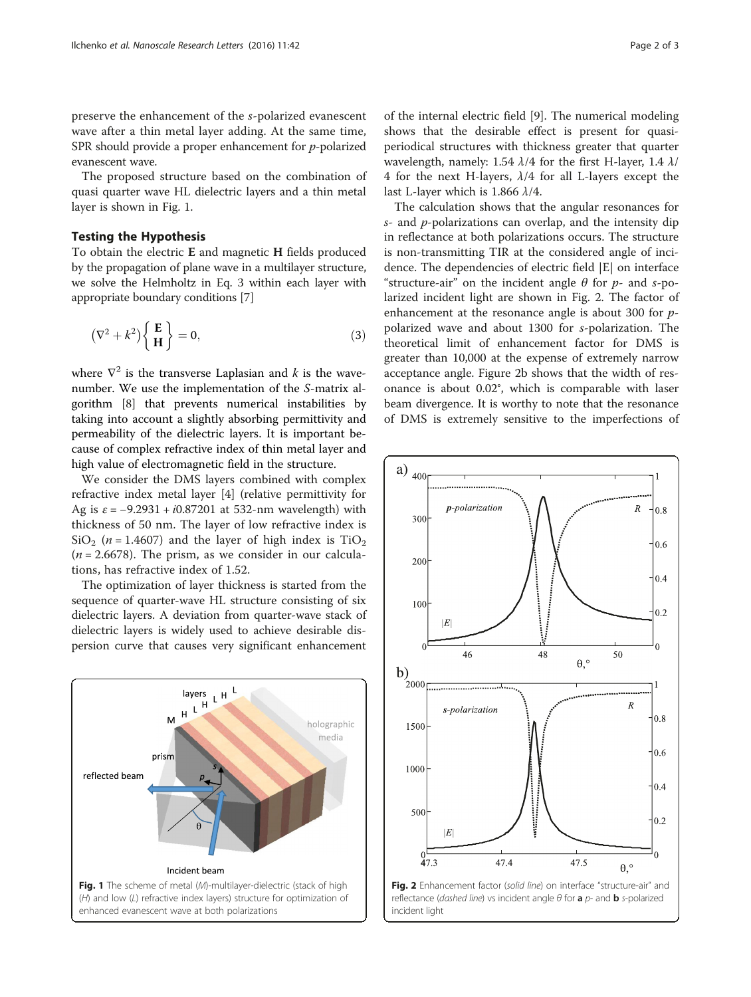preserve the enhancement of the s-polarized evanescent wave after a thin metal layer adding. At the same time, SPR should provide a proper enhancement for *p*-polarized evanescent wave.

The proposed structure based on the combination of quasi quarter wave HL dielectric layers and a thin metal layer is shown in Fig. 1.

## Testing the Hypothesis

To obtain the electric E and magnetic H fields produced by the propagation of plane wave in a multilayer structure, we solve the Helmholtz in Eq. 3 within each layer with appropriate boundary conditions [[7](#page-2-0)]

$$
(\nabla^2 + k^2) \begin{Bmatrix} \mathbf{E} \\ \mathbf{H} \end{Bmatrix} = 0, \tag{3}
$$

where  $\nabla^2$  is the transverse Laplasian and k is the wavenumber. We use the implementation of the S-matrix algorithm [[8\]](#page-2-0) that prevents numerical instabilities by taking into account a slightly absorbing permittivity and permeability of the dielectric layers. It is important because of complex refractive index of thin metal layer and high value of electromagnetic field in the structure.

We consider the DMS layers combined with complex refractive index metal layer [\[4](#page-2-0)] (relative permittivity for Ag is  $\varepsilon$  = -9.2931 + *i*0.87201 at 532-nm wavelength) with thickness of 50 nm. The layer of low refractive index is SiO<sub>2</sub> ( $n = 1.4607$ ) and the layer of high index is TiO<sub>2</sub>  $(n = 2.6678)$ . The prism, as we consider in our calculations, has refractive index of 1.52.

The optimization of layer thickness is started from the sequence of quarter-wave HL structure consisting of six dielectric layers. A deviation from quarter-wave stack of dielectric layers is widely used to achieve desirable dispersion curve that causes very significant enhancement



of the internal electric field [[9](#page-2-0)]. The numerical modeling shows that the desirable effect is present for quasiperiodical structures with thickness greater that quarter wavelength, namely: 1.54  $\lambda$ /4 for the first H-layer, 1.4  $\lambda$ / 4 for the next H-layers,  $\lambda/4$  for all L-layers except the last L-layer which is 1.866  $\lambda$ /4.

The calculation shows that the angular resonances for  $s$ - and  $p$ -polarizations can overlap, and the intensity dip in reflectance at both polarizations occurs. The structure is non-transmitting TIR at the considered angle of incidence. The dependencies of electric field |E| on interface "structure-air" on the incident angle  $\theta$  for  $p$ - and s-polarized incident light are shown in Fig. 2. The factor of enhancement at the resonance angle is about 300 for ppolarized wave and about 1300 for s-polarization. The theoretical limit of enhancement factor for DMS is greater than 10,000 at the expense of extremely narrow acceptance angle. Figure 2b shows that the width of resonance is about 0.02°, which is comparable with laser beam divergence. It is worthy to note that the resonance of DMS is extremely sensitive to the imperfections of



incident light